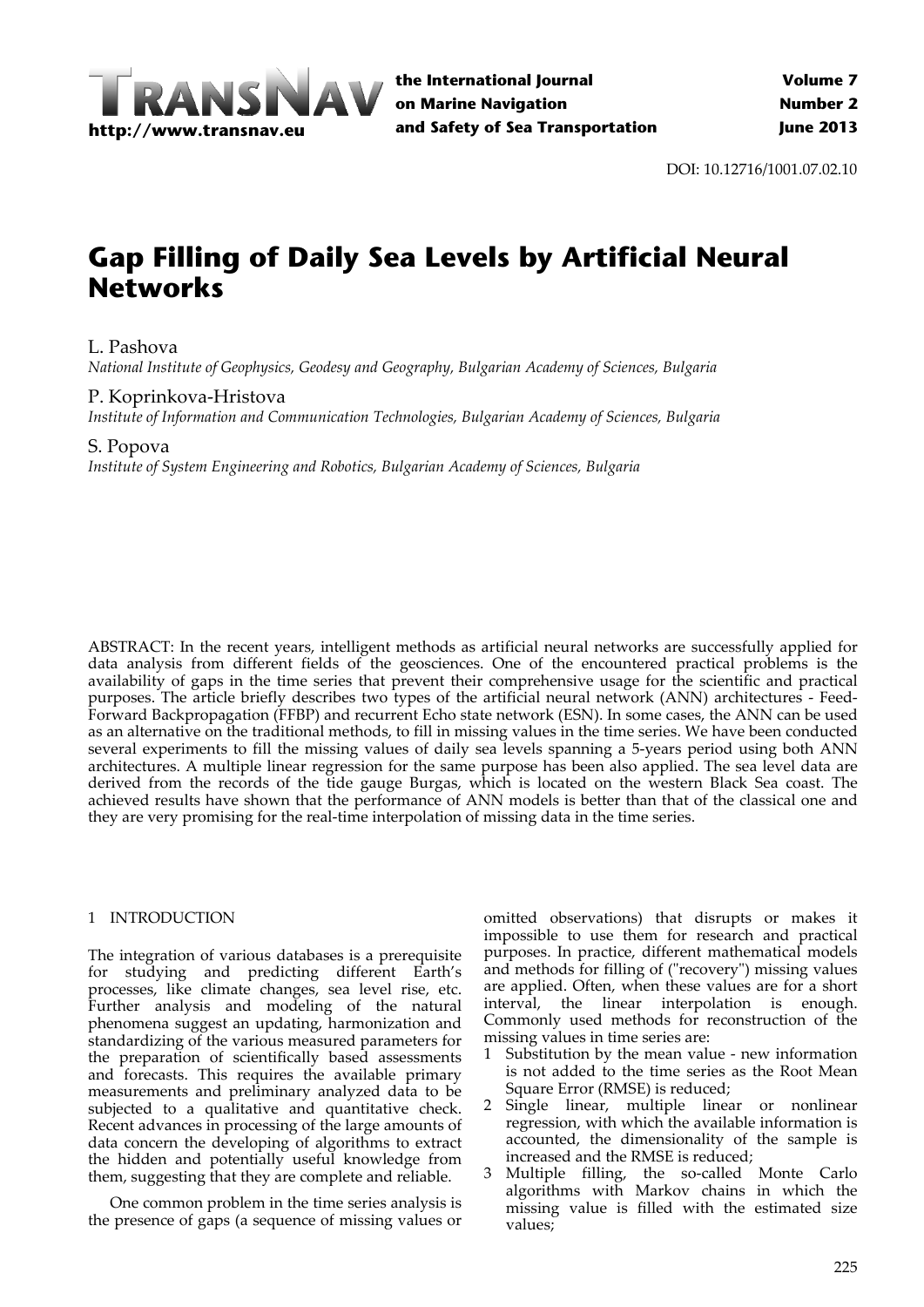

DOI: 10.12716/1001.07.02.10

# **Gap Filling of Daily Sea Levels by Artificial Neural Networks**

# L. Pashova

*National Institute of Geophysics, Geodesy and Geography, Bulgarian Academy of Sciences, Bulgaria*

# P. Koprinkova‐Hristova

*Institute of Information and Communication Technologies, Bulgarian Academy of Sciences, Bulgaria*

## S. Popova

*Institute of System Engineering and Robotics, Bulgarian Academy of Sciences, Bulgaria*

ABSTRACT: In the recent years, intelligent methods as artificial neural networks are successfully applied for data analysis from different fields of the geosciences. One of the encountered practical problems is the availability of gaps in the time series that prevent their comprehensive usage for the scientific and practical purposes. The article briefly describes two types of the artificial neural network (ANN) architectures ‐ Feed‐ Forward Backpropagation (FFBP) and recurrent Echo state network (ESN). In some cases, the ANN can be used as an alternative on the traditional methods, to fill in missing values in the time series. We have been conducted several experiments to fill the missing values of daily sea levels spanning a 5-years period using both ANN architectures. A multiple linear regression for the same purpose has been also applied. The sea level data are derived from the records of the tide gauge Burgas, which is located on the western Black Sea coast. The achieved results have shown that the performance of ANN models is better than that of the classical one and they are very promising for the real‐time interpolation of missing data in the time series.

## 1 INTRODUCTION

The integration of various databases is a prerequisite for studying and predicting different Earth's processes, like climate changes, sea level rise, etc. Further analysis and modeling of the natural phenomena suggest an updating, harmonization and standardizing of the various measured parameters for the preparation of scientifically based assessments and forecasts. This requires the available primary measurements and preliminary analyzed data to be subjected to a qualitative and quantitative check. Recent advances in processing of the large amounts of data concern the developing of algorithms to extract the hidden and potentially useful knowledge from them, suggesting that they are complete and reliable.

One common problem in the time series analysis is the presence of gaps (a sequence of missing values or

omitted observations) that disrupts or makes it impossible to use them for research and practical purposes. In practice, different mathematical models and methods for filling of ("recovery") missing values are applied. Often, when these values are for a short interval, the linear interpolation is enough. Commonly used methods for reconstruction of the missing values in time series are:

- 1 Substitution by the mean value ‐ new information is not added to the time series as the Root Mean Square Error (RMSE) is reduced;
- 2 Single linear, multiple linear or nonlinear regression, with which the available information is accounted, the dimensionality of the sample is increased and the RMSE is reduced;
- 3 Multiple filling, the so‐called Monte Carlo algorithms with Markov chains in which the missing value is filled with the estimated size values;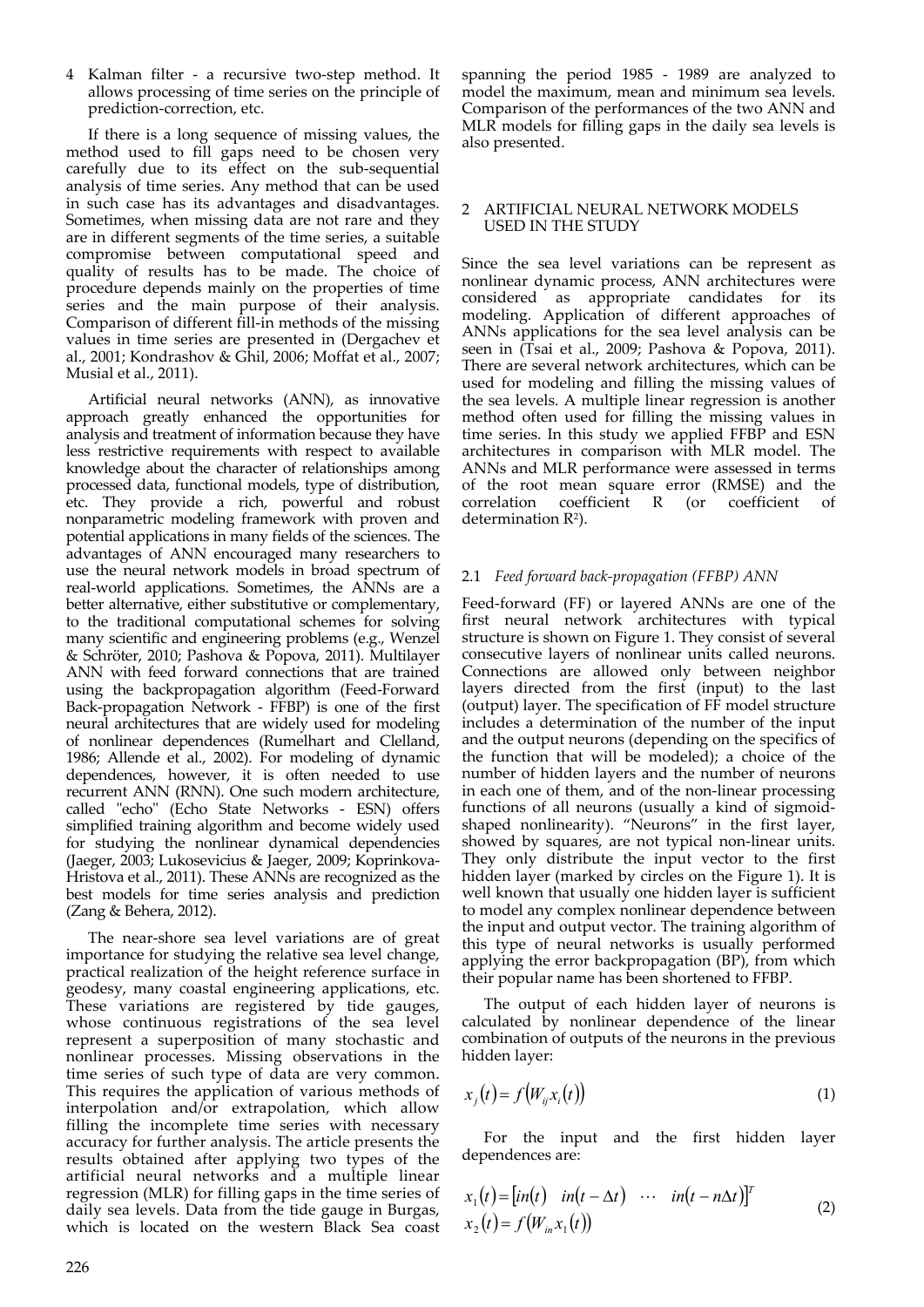4 Kalman filter - a recursive two-step method. It allows processing of time series on the principle of prediction‐correction, etc.

If there is a long sequence of missing values, the method used to fill gaps need to be chosen very carefully due to its effect on the sub‐sequential analysis of time series. Any method that can be used in such case has its advantages and disadvantages. Sometimes, when missing data are not rare and they are in different segments of the time series, a suitable compromise between computational speed and quality of results has to be made. The choice of procedure depends mainly on the properties of time series and the main purpose of their analysis. Comparison of different fill‐in methods of the missing values in time series are presented in (Dergachev et al., 2001; Kondrashov & Ghil, 2006; Moffat et al., 2007; Musial et al., 2011).

Artificial neural networks (ANN), as innovative approach greatly enhanced the opportunities for analysis and treatment of information because they have less restrictive requirements with respect to available knowledge about the character of relationships among processed data, functional models, type of distribution, etc. They provide a rich, powerful and robust nonparametric modeling framework with proven and potential applications in many fields of the sciences. The advantages of ANN encouraged many researchers to use the neural network models in broad spectrum of real‐world applications. Sometimes, the ANNs are a better alternative, either substitutive or complementary, to the traditional computational schemes for solving many scientific and engineering problems (e.g., Wenzel & Schröter, 2010; Pashova & Popova, 2011). Multilayer ANN with feed forward connections that are trained using the backpropagation algorithm (Feed‐Forward Back‐propagation Network ‐ FFBP) is one of the first neural architectures that are widely used for modeling of nonlinear dependences (Rumelhart and Clelland, 1986; Allende et al., 2002). For modeling of dynamic dependences, however, it is often needed to use recurrent ANN (RNN). One such modern architecture, called "echo" (Echo State Networks - ESN) offers simplified training algorithm and become widely used for studying the nonlinear dynamical dependencies (Jaeger, 2003; Lukosevicius & Jaeger, 2009; Koprinkova‐ Hristova et al., 2011). These ANNs are recognized as the best models for time series analysis and prediction (Zang & Behera, 2012).

The near-shore sea level variations are of great importance for studying the relative sea level change, practical realization of the height reference surface in geodesy, many coastal engineering applications, etc. These variations are registered by tide gauges, whose continuous registrations of the sea level represent a superposition of many stochastic and nonlinear processes. Missing observations in the time series of such type of data are very common. This requires the application of various methods of interpolation and/or extrapolation, which allow filling the incomplete time series with necessary accuracy for further analysis. The article presents the results obtained after applying two types of the artificial neural networks and a multiple linear regression (MLR) for filling gaps in the time series of daily sea levels. Data from the tide gauge in Burgas, which is located on the western Black Sea coast spanning the period 1985 - 1989 are analyzed to model the maximum, mean and minimum sea levels. Comparison of the performances of the two ANN and MLR models for filling gaps in the daily sea levels is also presented.

#### 2 ARTIFICIAL NEURAL NETWORK MODELS USED IN THE STUDY

Since the sea level variations can be represent as nonlinear dynamic process, ANN architectures were considered as appropriate candidates for its modeling. Application of different approaches of ANNs applications for the sea level analysis can be seen in (Tsai et al., 2009; Pashova & Popova, 2011). There are several network architectures, which can be used for modeling and filling the missing values of the sea levels. A multiple linear regression is another method often used for filling the missing values in time series. In this study we applied FFBP and ESN architectures in comparison with MLR model. The ANNs and MLR performance were assessed in terms of the root mean square error (RMSE) and the correlation coefficient R (or coefficient of determination  $R^2$ ).

## 2.1 *Feed forward back‐propagation (FFBP) ANN*

Feed‐forward (FF) or layered ANNs are one of the first neural network architectures with typical structure is shown on Figure 1. They consist of several consecutive layers of nonlinear units called neurons. Connections are allowed only between neighbor layers directed from the first (input) to the last (output) layer. The specification of FF model structure includes a determination of the number of the input and the output neurons (depending on the specifics of the function that will be modeled); a choice of the number of hidden layers and the number of neurons in each one of them, and of the non‐linear processing functions of all neurons (usually a kind of sigmoid‐ shaped nonlinearity). "Neurons" in the first layer, showed by squares, are not typical non-linear units. They only distribute the input vector to the first hidden layer (marked by circles on the Figure 1). It is well known that usually one hidden layer is sufficient to model any complex nonlinear dependence between the input and output vector. The training algorithm of this type of neural networks is usually performed applying the error backpropagation (BP), from which their popular name has been shortened to FFBP.

The output of each hidden layer of neurons is calculated by nonlinear dependence of the linear combination of outputs of the neurons in the previous hidden layer:

$$
x_j(t) = f(W_{ij}x_i(t))
$$
\n(1)

For the input and the first hidden layer dependences are:

$$
x_1(t) = [in(t) \quad in(t - \Delta t) \quad \cdots \quad in(t - n\Delta t)]^T
$$
  
\n
$$
x_2(t) = f(W_{in}x_1(t))
$$
\n(2)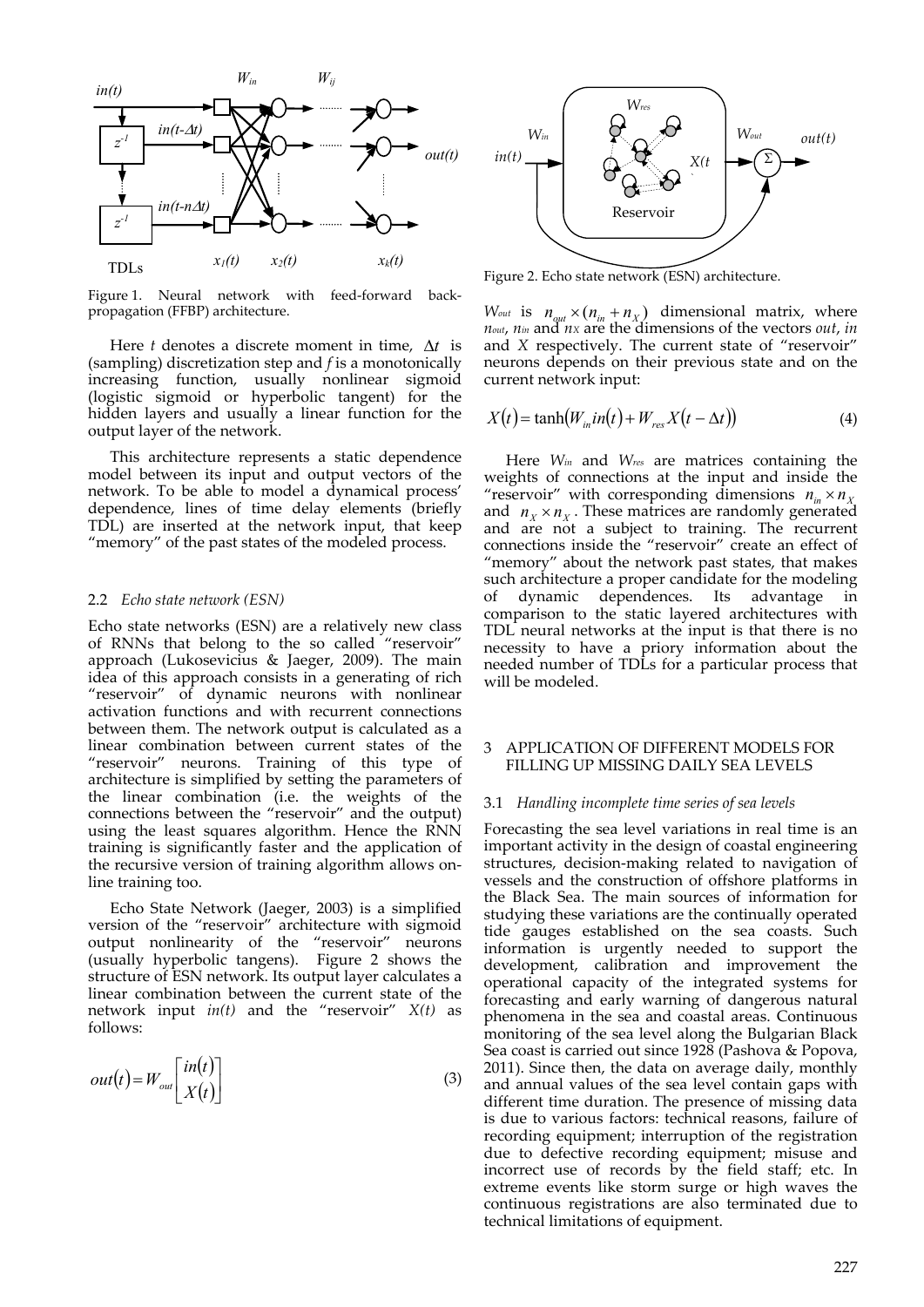

Figure 1. Neural network with feed-forward backpropagation (FFBP) architecture.

Here *t* denotes a discrete moment in time,  $\Delta t$  is (sampling) discretization step and *f* is a monotonically increasing function, usually nonlinear sigmoid (logistic sigmoid or hyperbolic tangent) for the hidden layers and usually a linear function for the output layer of the network.

This architecture represents a static dependence model between its input and output vectors of the network. To be able to model a dynamical process' dependence, lines of time delay elements (briefly TDL) are inserted at the network input, that keep "memory" of the past states of the modeled process.

#### 2.2 *Echo state network (ESN)*

Echo state networks (ESN) are a relatively new class of RNNs that belong to the so called "reservoir" approach (Lukosevicius & Jaeger, 2009). The main idea of this approach consists in a generating of rich "reservoir" of dynamic neurons with nonlinear activation functions and with recurrent connections between them. The network output is calculated as a linear combination between current states of the "reservoir" neurons. Training of this type of architecture is simplified by setting the parameters of the linear combination (i.e. the weights of the connections between the "reservoir" and the output) using the least squares algorithm. Hence the RNN training is significantly faster and the application of the recursive version of training algorithm allows on‐ line training too.

Echo State Network (Jaeger, 2003) is a simplified version of the "reservoir" architecture with sigmoid output nonlinearity of the "reservoir" neurons (usually hyperbolic tangens). Figure 2 shows the structure of ESN network. Its output layer calculates a linear combination between the current state of the network input *in(t)* and the "reservoir" *X(t)* as follows:

$$
out(t) = W_{out} \begin{bmatrix} in(t) \\ X(t) \end{bmatrix}
$$
 (3)



Figure 2. Echo state network (ESN) architecture.

 $W_{out}$  is  $n_{out} \times (n_{in} + n_X)$  dimensional matrix, where *nout*, *nin* and *nX* are the dimensions of the vectors *out*, *in* and *X* respectively. The current state of "reservoir" neurons depends on their previous state and on the current network input:

$$
X(t) = \tanh(W_{in}in(t) + W_{res}X(t - \Delta t))
$$
\n(4)

Here *Win* and *Wres* are matrices containing the weights of connections at the input and inside the "reservoir" with corresponding dimensions  $n_{in} \times n_{Y}$ and  $n_x \times n_y$ . These matrices are randomly generated and are not a subject to training. The recurrent connections inside the "reservoir" create an effect of "memory" about the network past states, that makes such architecture a proper candidate for the modeling of dynamic dependences. Its advantage in comparison to the static layered architectures with TDL neural networks at the input is that there is no necessity to have a priory information about the needed number of TDLs for a particular process that will be modeled.

#### 3 APPLICATION OF DIFFERENT MODELS FOR FILLING UP MISSING DAILY SEA LEVELS

#### 3.1 *Handling incomplete time series of sea levels*

Forecasting the sea level variations in real time is an important activity in the design of coastal engineering structures, decision‐making related to navigation of vessels and the construction of offshore platforms in the Black Sea. The main sources of information for studying these variations are the continually operated tide gauges established on the sea coasts. Such information is urgently needed to support the development, calibration and improvement the operational capacity of the integrated systems for forecasting and early warning of dangerous natural phenomena in the sea and coastal areas. Continuous monitoring of the sea level along the Bulgarian Black Sea coast is carried out since 1928 (Pashova & Popova, 2011). Since then, the data on average daily, monthly and annual values of the sea level contain gaps with different time duration. The presence of missing data is due to various factors: technical reasons, failure of recording equipment; interruption of the registration due to defective recording equipment; misuse and incorrect use of records by the field staff; etc. In extreme events like storm surge or high waves the continuous registrations are also terminated due to technical limitations of equipment.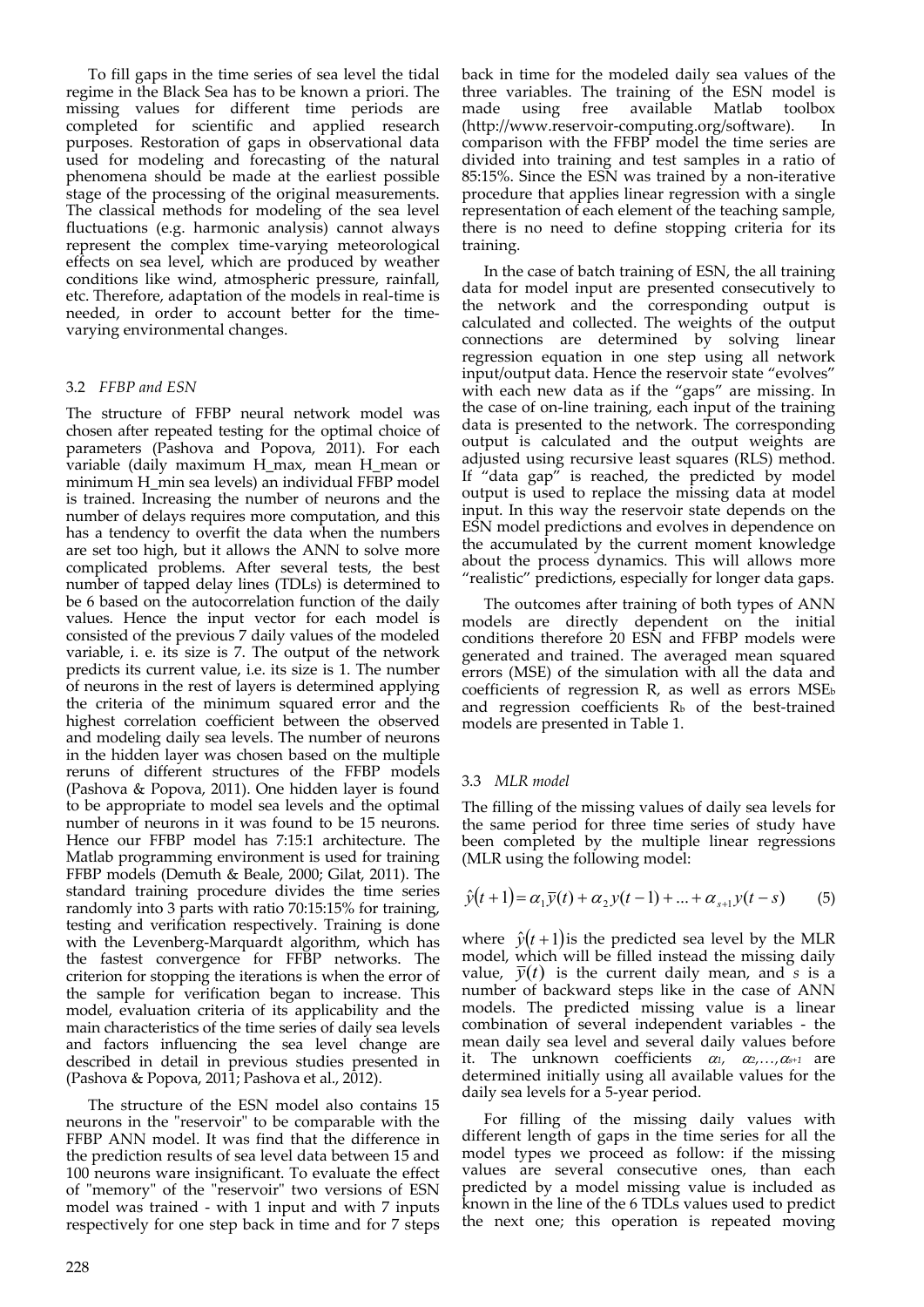To fill gaps in the time series of sea level the tidal regime in the Black Sea has to be known a priori. The missing values for different time periods are completed for scientific and applied research purposes. Restoration of gaps in observational data used for modeling and forecasting of the natural phenomena should be made at the earliest possible stage of the processing of the original measurements. The classical methods for modeling of the sea level fluctuations (e.g. harmonic analysis) cannot always represent the complex time‐varying meteorological effects on sea level, which are produced by weather conditions like wind, atmospheric pressure, rainfall, etc. Therefore, adaptation of the models in real‐time is needed, in order to account better for the time‐ varying environmental changes.

#### 3.2 *FFBP and ESN*

The structure of FFBP neural network model was chosen after repeated testing for the optimal choice of parameters (Pashova and Popova, 2011). For each variable (daily maximum H\_max, mean H\_mean or minimum H\_min sea levels) an individual FFBP model is trained. Increasing the number of neurons and the number of delays requires more computation, and this has a tendency to overfit the data when the numbers are set too high, but it allows the ANN to solve more complicated problems. After several tests, the best number of tapped delay lines (TDLs) is determined to be 6 based on the autocorrelation function of the daily values. Hence the input vector for each model is consisted of the previous 7 daily values of the modeled variable, i. e. its size is 7. The output of the network predicts its current value, i.e. its size is 1. The number of neurons in the rest of layers is determined applying the criteria of the minimum squared error and the highest correlation coefficient between the observed and modeling daily sea levels. The number of neurons in the hidden layer was chosen based on the multiple reruns of different structures of the FFBP models (Pashova & Popova, 2011). One hidden layer is found to be appropriate to model sea levels and the optimal number of neurons in it was found to be 15 neurons. Hence our FFBP model has 7:15:1 architecture. The Matlab programming environment is used for training FFBP models (Demuth & Beale, 2000; Gilat, 2011). The standard training procedure divides the time series randomly into 3 parts with ratio 70:15:15% for training, testing and verification respectively. Training is done with the Levenberg‐Marquardt algorithm, which has the fastest convergence for FFBP networks. The criterion for stopping the iterations is when the error of the sample for verification began to increase. This model, evaluation criteria of its applicability and the main characteristics of the time series of daily sea levels and factors influencing the sea level change are described in detail in previous studies presented in (Pashova & Popova, 2011; Pashova et al., 2012).

The structure of the ESN model also contains 15 neurons in the "reservoir" to be comparable with the FFBP ANN model. It was find that the difference in the prediction results of sea level data between 15 and 100 neurons ware insignificant. To evaluate the effect of "memory" of the "reservoir" two versions of ESN model was trained - with 1 input and with 7 inputs respectively for one step back in time and for 7 steps

back in time for the modeled daily sea values of the three variables. The training of the ESN model is made using free available Matlab toolbox (http://www.reservoir‐computing.org/software). In comparison with the FFBP model the time series are divided into training and test samples in a ratio of 85:15%. Since the ESN was trained by a non‐iterative procedure that applies linear regression with a single representation of each element of the teaching sample, there is no need to define stopping criteria for its training.

In the case of batch training of ESN, the all training data for model input are presented consecutively to the network and the corresponding output is calculated and collected. The weights of the output connections are determined by solving linear regression equation in one step using all network input/output data. Hence the reservoir state "evolves" with each new data as if the "gaps" are missing. In the case of on-line training, each input of the training data is presented to the network. The corresponding output is calculated and the output weights are adjusted using recursive least squares (RLS) method. If "data gap" is reached, the predicted by model output is used to replace the missing data at model input. In this way the reservoir state depends on the ESN model predictions and evolves in dependence on the accumulated by the current moment knowledge about the process dynamics. This will allows more "realistic" predictions, especially for longer data gaps.

The outcomes after training of both types of ANN models are directly dependent on the initial conditions therefore 20 ESN and FFBP models were generated and trained. The averaged mean squared errors (MSE) of the simulation with all the data and coefficients of regression R, as well as errors MSEb and regression coefficients  $R<sub>b</sub>$  of the best-trained models are presented in Table 1.

#### 3.3 *MLR model*

The filling of the missing values of daily sea levels for the same period for three time series of study have been completed by the multiple linear regressions (MLR using the following model:

$$
\hat{y}(t+1) = \alpha_1 \bar{y}(t) + \alpha_2 y(t-1) + \dots + \alpha_{s+1} y(t-s) \tag{5}
$$

where  $\hat{y}(t+1)$  is the predicted sea level by the MLR model, which will be filled instead the missing daily value,  $\bar{y}(t)$  is the current daily mean, and *s* is a number of backward steps like in the case of ANN models. The predicted missing value is a linear combination of several independent variables ‐ the mean daily sea level and several daily values before it. The unknown coefficients  $\alpha_1$ ,  $\alpha_2$ ,  $\alpha_{s+1}$  are determined initially using all available values for the daily sea levels for a 5‐year period.

For filling of the missing daily values with different length of gaps in the time series for all the model types we proceed as follow: if the missing values are several consecutive ones, than each predicted by a model missing value is included as known in the line of the 6 TDLs values used to predict the next one; this operation is repeated moving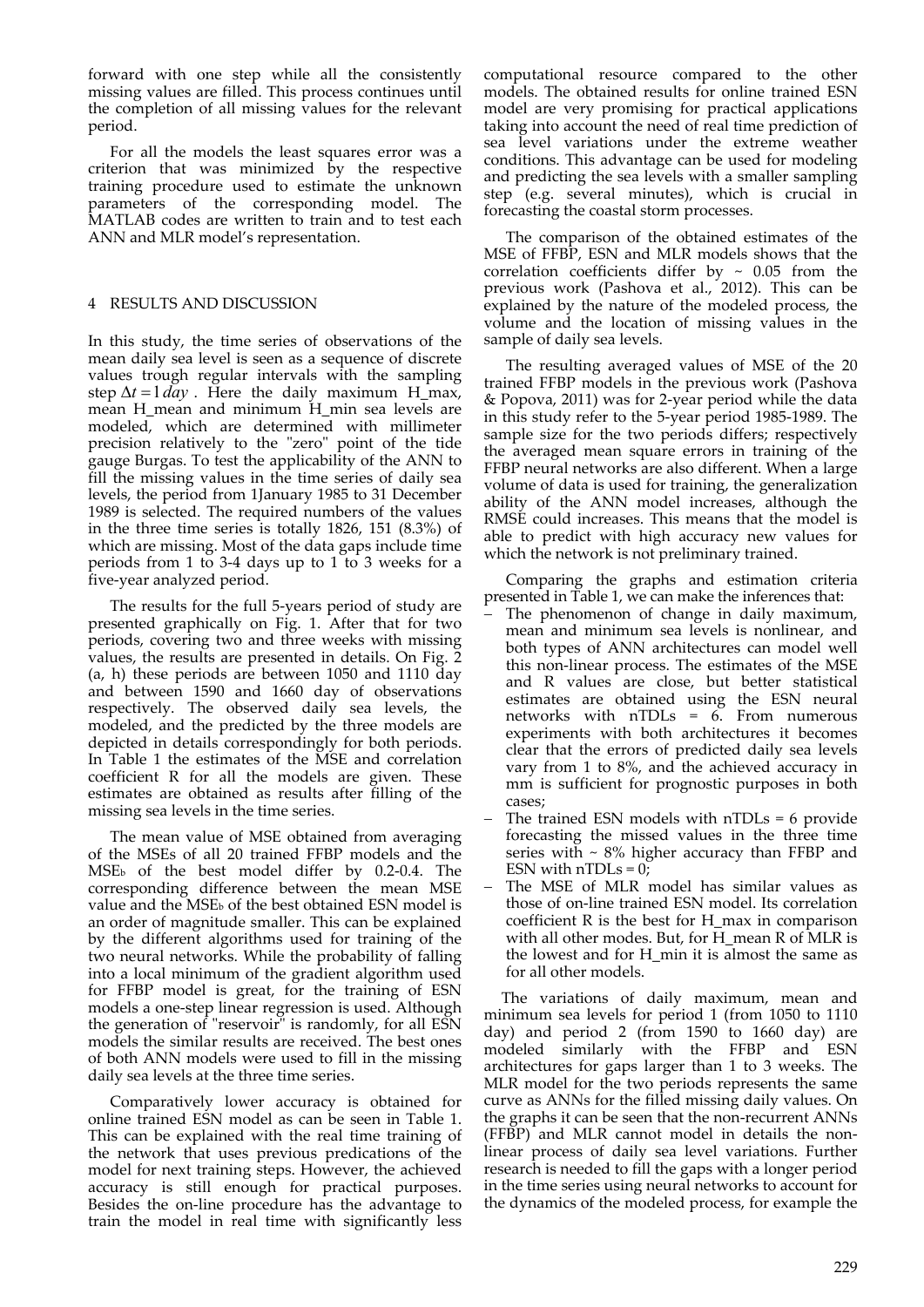forward with one step while all the consistently missing values are filled. This process continues until the completion of all missing values for the relevant period.

For all the models the least squares error was a criterion that was minimized by the respective training procedure used to estimate the unknown parameters of the corresponding model. The MATLAB codes are written to train and to test each ANN and MLR model's representation.

## 4 RESULTS AND DISCUSSION

In this study, the time series of observations of the mean daily sea level is seen as a sequence of discrete values trough regular intervals with the sampling step  $\Delta t = 1 \, day$ . Here the daily maximum H\_max, mean H\_mean and minimum H\_min sea levels are modeled, which are determined with millimeter precision relatively to the "zero" point of the tide gauge Burgas. To test the applicability of the ANN to fill the missing values in the time series of daily sea levels, the period from 1January 1985 to 31 December 1989 is selected. The required numbers of the values in the three time series is totally 1826, 151 (8.3%) of which are missing. Most of the data gaps include time periods from 1 to 3-4 days up to 1 to 3 weeks for a five‐year analyzed period.

The results for the full 5‐years period of study are presented graphically on Fig. 1. After that for two periods, covering two and three weeks with missing values, the results are presented in details. On Fig. 2 (a, h) these periods are between 1050 and 1110 day and between 1590 and 1660 day of observations respectively. The observed daily sea levels, the modeled, and the predicted by the three models are depicted in details correspondingly for both periods. In Table 1 the estimates of the MSE and correlation coefficient R for all the models are given. These estimates are obtained as results after filling of the missing sea levels in the time series.

The mean value of MSE obtained from averaging of the MSEs of all 20 trained FFBP models and the MSEb of the best model differ by 0.2‐0.4. The corresponding difference between the mean MSE value and the MSE<sub>b</sub> of the best obtained ESN model is an order of magnitude smaller. This can be explained by the different algorithms used for training of the two neural networks. While the probability of falling into a local minimum of the gradient algorithm used for FFBP model is great, for the training of ESN models a one‐step linear regression is used. Although the generation of "reservoir" is randomly, for all ESN models the similar results are received. The best ones of both ANN models were used to fill in the missing daily sea levels at the three time series.

Comparatively lower accuracy is obtained for online trained ESN model as can be seen in Table 1. This can be explained with the real time training of the network that uses previous predications of the model for next training steps. However, the achieved accuracy is still enough for practical purposes. Besides the on‐line procedure has the advantage to train the model in real time with significantly less

computational resource compared to the other models. The obtained results for online trained ESN model are very promising for practical applications taking into account the need of real time prediction of sea level variations under the extreme weather conditions. This advantage can be used for modeling and predicting the sea levels with a smaller sampling step (e.g. several minutes), which is crucial in forecasting the coastal storm processes.

The comparison of the obtained estimates of the MSE of FFBP, ESN and MLR models shows that the correlation coefficients differ by  $\sim 0.05$  from the previous work (Pashova et al., 2012). This can be explained by the nature of the modeled process, the volume and the location of missing values in the sample of daily sea levels.

The resulting averaged values of MSE of the 20 trained FFBP models in the previous work (Pashova & Popova, 2011) was for 2‐year period while the data in this study refer to the 5‐year period 1985‐1989. The sample size for the two periods differs; respectively the averaged mean square errors in training of the FFBP neural networks are also different. When a large volume of data is used for training, the generalization ability of the ANN model increases, although the RMSE could increases. This means that the model is able to predict with high accuracy new values for which the network is not preliminary trained.

Comparing the graphs and estimation criteria presented in Table 1, we can make the inferences that:

- The phenomenon of change in daily maximum, mean and minimum sea levels is nonlinear, and both types of ANN architectures can model well this non‐linear process. The estimates of the MSE and R values are close, but better statistical estimates are obtained using the ESN neural networks with nTDLs = 6. From numerous experiments with both architectures it becomes clear that the errors of predicted daily sea levels vary from 1 to 8%, and the achieved accuracy in mm is sufficient for prognostic purposes in both cases;
- The trained ESN models with nTDLs = 6 provide forecasting the missed values in the three time series with  $\sim 8\%$  higher accuracy than FFBP and ESN with  $nTDLs = 0$ ;
- The MSE of MLR model has similar values as those of on‐line trained ESN model. Its correlation coefficient R is the best for H\_max in comparison with all other modes. But, for H\_mean R of MLR is the lowest and for H\_min it is almost the same as for all other models.

The variations of daily maximum, mean and minimum sea levels for period 1 (from 1050 to 1110 day) and period 2 (from 1590 to 1660 day) are modeled similarly with the FFBP and ESN architectures for gaps larger than 1 to 3 weeks. The MLR model for the two periods represents the same curve as ANNs for the filled missing daily values. On the graphs it can be seen that the non‐recurrent ANNs (FFBP) and MLR cannot model in details the non‐ linear process of daily sea level variations. Further research is needed to fill the gaps with a longer period in the time series using neural networks to account for the dynamics of the modeled process, for example the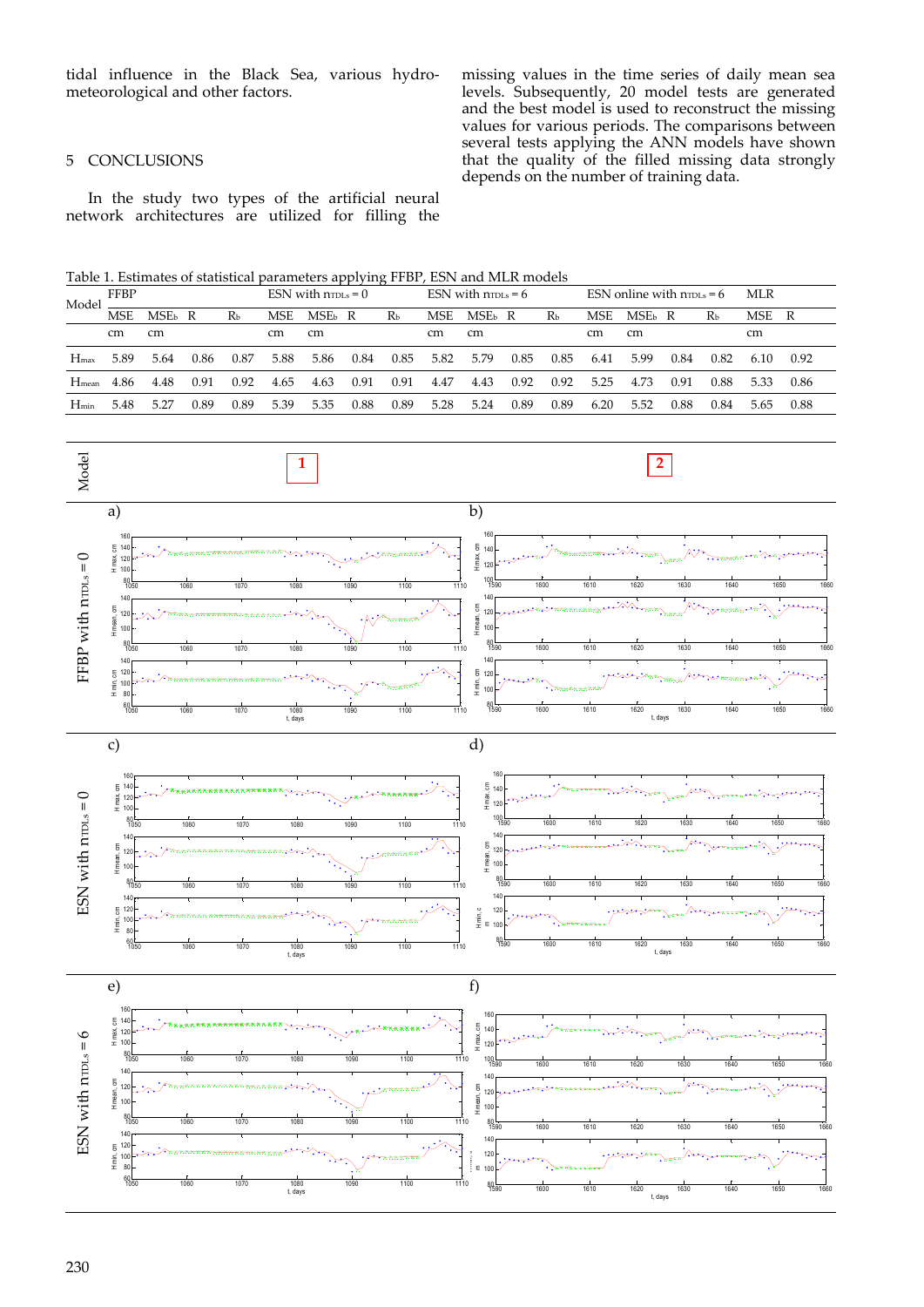tidal influence in the Black Sea, various hydro‐ meteorological and other factors.

missing values in the time series of daily mean sea levels. Subsequently, 20 model tests are generated and the best model is used to reconstruct the missing values for various periods. The comparisons between several tests applying the ANN models have shown that the quality of the filled missing data strongly depends on the number of training data.

# 5 CONCLUSIONS

In the study two types of the artificial neural network architectures are utilized for filling the

Table 1. Estimates of statistical parameters applying FFBP, ESN and MLR models

| Model             | <b>FFBP</b> |                  |      |                | $ESN$ with $n_{TDLs} = 0$ |                    |      |      | ESN with $n_{\text{TDLS}} = 6$ |              |      |      | ESN online with $n_{\text{TDLS}} = 6$ |          |      |                | MLR  |      |
|-------------------|-------------|------------------|------|----------------|---------------------------|--------------------|------|------|--------------------------------|--------------|------|------|---------------------------------------|----------|------|----------------|------|------|
|                   | <b>MSE</b>  | MSE <sub>b</sub> | R    | R <sub>b</sub> | <b>MSE</b>                | MSE <sub>b</sub> R |      | Rь   | <b>MSE</b>                     | <b>MSE</b> b | R    | Rь   | <b>MSE</b>                            | $MSEb$ R |      | R <sub>b</sub> | MSE  | R    |
|                   | cm          | cm               |      |                | cm                        | cm                 |      |      | cm                             | cm           |      |      | cm                                    | cm       |      |                | cm   |      |
| $H_{\text{max}}$  | 5.89        | 5.64             | 0.86 | 0.87           | 5.88                      | 5.86               | 0.84 | 0.85 | 5.82                           | 5.79         | 0.85 | 0.85 | 6.41                                  | 5.99     | 0.84 | 0.82           | 6.10 | 0.92 |
| H <sub>mean</sub> | 4.86        | 4.48             | 0.91 | 0.92           | 4.65                      | 4.63               | 0.91 | 0.91 | 4.47                           | 4.43         | 0.92 | 0.92 | 5.25                                  | 4.73     | 0.91 | 0.88           | 5.33 | 0.86 |
| $H_{min}$         | 5.48        | 5.27             | 0.89 | 0.89           | 5.39                      | 5.35               | 0.88 | 0.89 | 5.28                           | 5.24         | 0.89 | 0.89 | 6.20                                  | 5.52     | 0.88 | 0.84           | 5.65 | 0.88 |

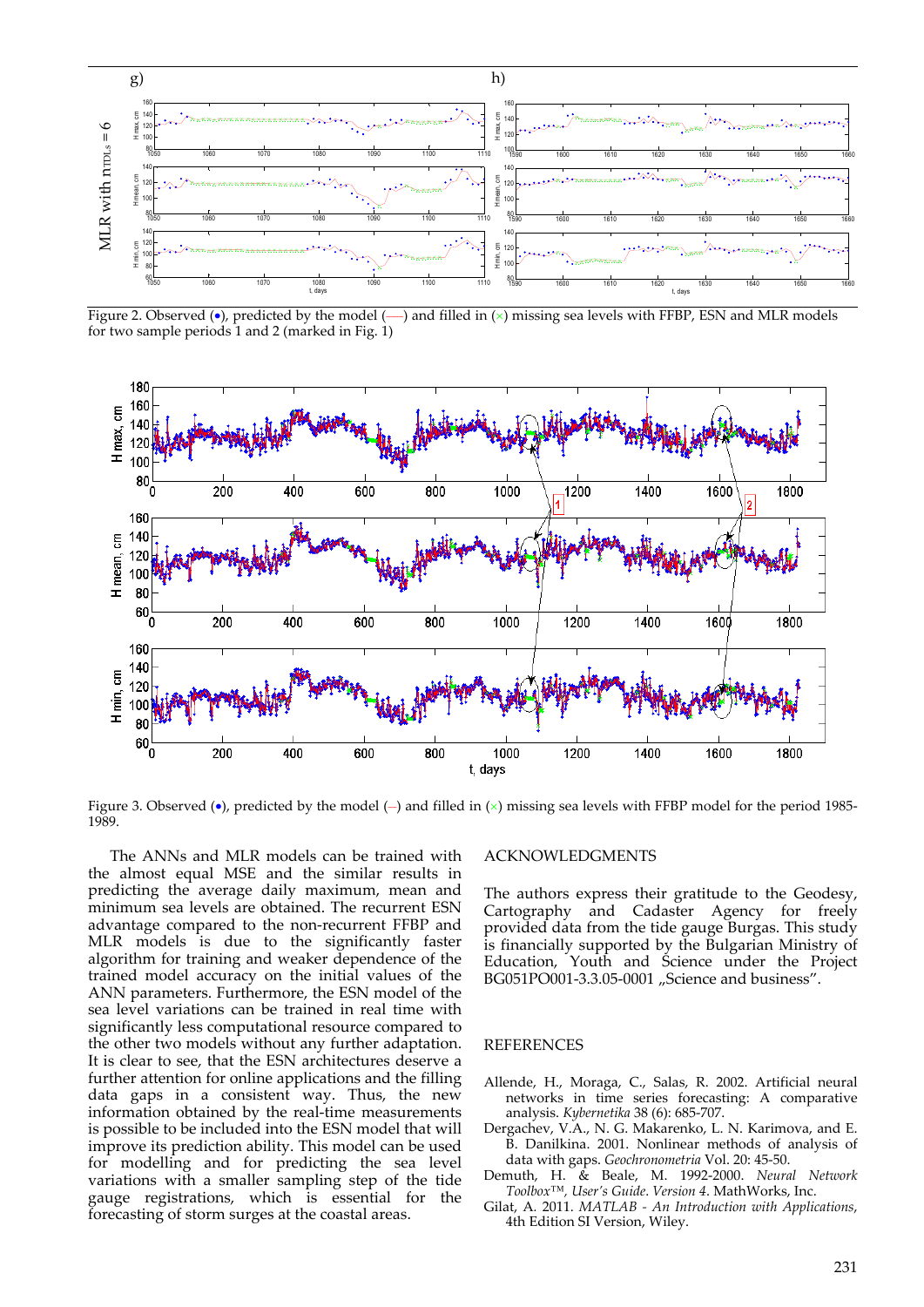

Figure 2. Observed  $\left(\bullet\right)$ , predicted by the model  $\left(\_\right)$  and filled in  $\left(\times\right)$  missing sea levels with FFBP, ESN and MLR models for two sample periods 1 and 2 (marked in Fig.  $1$ )



Figure 3. Observed ( $\bullet$ ), predicted by the model (-) and filled in ( $\times$ ) missing sea levels with FFBP model for the period 1985-1989.

The ANNs and MLR models can be trained with the almost equal MSE and the similar results in predicting the average daily maximum, mean and minimum sea levels are obtained. The recurrent ESN advantage compared to the non‐recurrent FFBP and MLR models is due to the significantly faster algorithm for training and weaker dependence of the trained model accuracy on the initial values of the ANN parameters. Furthermore, the ESN model of the sea level variations can be trained in real time with significantly less computational resource compared to the other two models without any further adaptation. It is clear to see, that the ESN architectures deserve a further attention for online applications and the filling data gaps in a consistent way. Thus, the new information obtained by the real‐time measurements is possible to be included into the ESN model that will improve its prediction ability. This model can be used for modelling and for predicting the sea level variations with a smaller sampling step of the tide gauge registrations, which is essential for the forecasting of storm surges at the coastal areas.

#### ACKNOWLEDGMENTS

The authors express their gratitude to the Geodesy, Cartography and Cadaster Agency for freely provided data from the tide gauge Burgas. This study is financially supported by the Bulgarian Ministry of Education, Youth and Science under the Project BG051PO001-3.3.05-0001 "Science and business".

#### REFERENCES

- Allende, H., Moraga, C., Salas, R. 2002. Artificial neural networks in time series forecasting: A comparative analysis. *Kybernetika* 38 (6): 685‐707.
- Dergachev, V.A., N. G. Makarenko, L. N. Karimova, and E. B. Danilkina. 2001. Nonlinear methods of analysis of data with gaps. *Geochronometria* Vol. 20: 45‐50.
- Demuth, H. & Beale, M. 1992‐2000. *Neural Network Toolbox™, User's Guide*. *Version 4*. MathWorks, Inc.
- Gilat, A*.* 2011. *MATLAB ‐ An Introduction with Applications*, 4th Edition SI Version, Wiley.